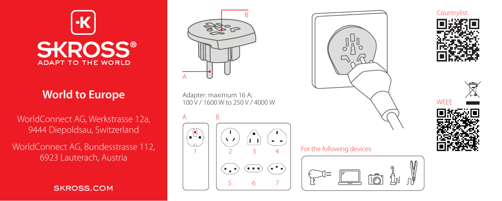

# **World to Europe**

WorldConnect AG, Werkstrasse 12a, 9444 Diepoldsau, Switzerland

WorldConnect AG, Bundesstrasse 112, 6923 Lauterach, Austria

skross.com



Adapter: maximum 16 A; 100 V / 1600 W to 250 V / 4000 W

A B





#### For the following devices: